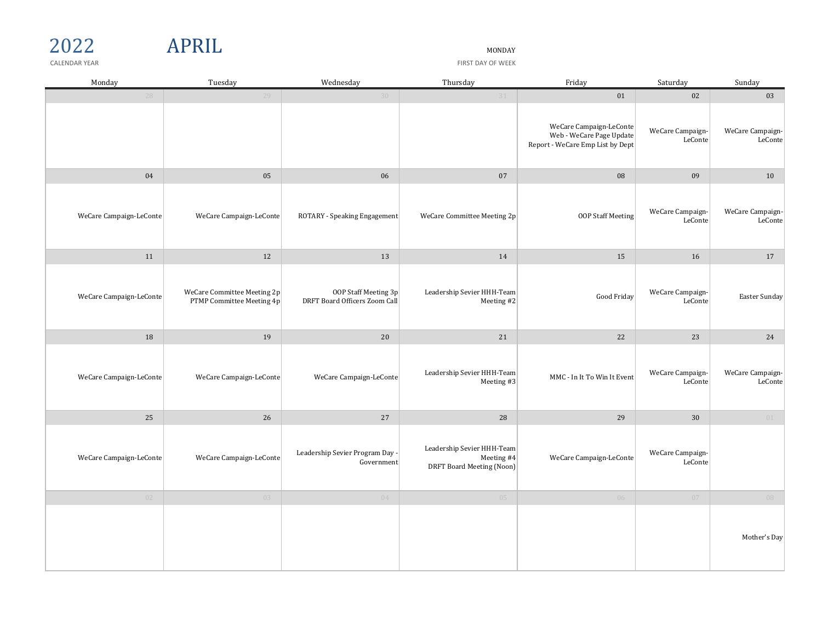| ٧ |  |
|---|--|

## 2022 APRIL APRIL

CALENDAR YEAR FIRST DAY OF WEEK AND THE SERVER OF WEEK AND THE SERVER OF WEEK AND THE SERVER OF WEEK AND THE SERVER OF WEEK

| Monday                  | Tuesday                                                  | Wednesday                                             | Thursday                                                              | Friday                                                                                  | Saturday                    | Sunday                      |
|-------------------------|----------------------------------------------------------|-------------------------------------------------------|-----------------------------------------------------------------------|-----------------------------------------------------------------------------------------|-----------------------------|-----------------------------|
| 28                      | 29                                                       | 30                                                    | 31                                                                    | 01                                                                                      | 02                          | 03                          |
|                         |                                                          |                                                       |                                                                       | WeCare Campaign-LeConte<br>Web - WeCare Page Update<br>Report - WeCare Emp List by Dept | WeCare Campaign-<br>LeConte | WeCare Campaign-<br>LeConte |
| 04                      | 05                                                       | 06                                                    | ${\bf 07}$                                                            | ${\bf 08}$                                                                              | 09                          | $10\,$                      |
| WeCare Campaign-LeConte | WeCare Campaign-LeConte                                  | ROTARY - Speaking Engagement                          | WeCare Committee Meeting 2p                                           | OOP Staff Meeting                                                                       | WeCare Campaign-<br>LeConte | WeCare Campaign-<br>LeConte |
| 11                      | 12                                                       | 13                                                    | 14                                                                    | 15                                                                                      | 16                          | 17                          |
| WeCare Campaign-LeConte | WeCare Committee Meeting 2p<br>PTMP Committee Meeting 4p | OOP Staff Meeting 3p<br>DRFT Board Officers Zoom Call | Leadership Sevier HHH-Team<br>Meeting #2                              | Good Friday                                                                             | WeCare Campaign-<br>LeConte | Easter Sunday               |
| 18                      | 19                                                       | 20                                                    | 21                                                                    | 22                                                                                      | 23                          | 24                          |
| WeCare Campaign-LeConte | WeCare Campaign-LeConte                                  | WeCare Campaign-LeConte                               | Leadership Sevier HHH-Team<br>Meeting #3                              | MMC - In It To Win It Event                                                             | WeCare Campaign-<br>LeConte | WeCare Campaign-<br>LeConte |
| 25                      | 26                                                       | 27                                                    | 28                                                                    | 29                                                                                      | 30                          | 01                          |
| WeCare Campaign-LeConte | WeCare Campaign-LeConte                                  | Leadership Sevier Program Day -<br>Government         | Leadership Sevier HHH-Team<br>Meeting #4<br>DRFT Board Meeting (Noon) | WeCare Campaign-LeConte                                                                 | WeCare Campaign-<br>LeConte |                             |
| 02                      | 03                                                       | 04                                                    | 05                                                                    | 06                                                                                      | 07                          | 08                          |
|                         |                                                          |                                                       |                                                                       |                                                                                         |                             | Mother's Day                |